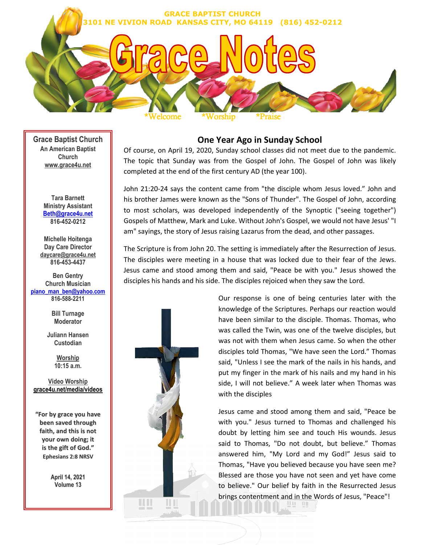

**Grace Baptist Church An American Baptist Church www.grace4u.net**

> **Tara Barnett Ministry Assistant Beth@grace4u.net 816-452-0212**

**Michelle Hoitenga Day Care Director daycare@grace4u.net 816-453-4437** 

**Ben Gentry Church Musician piano\_man\_ben@yahoo.com 816-588-2211**

> **Bill Turnage Moderator**

**Juliann Hansen Custodian** 

> **Worship 10:15 a.m.**

**Video Worship grace4u.net/media/videos**

**"For by grace you have been saved through faith, and this is not your own doing; it is the gift of God." Ephesians 2:8 NRSV**

> **April 14, 2021 Volume 13**

# **One Year Ago in Sunday School**

Of course, on April 19, 2020, Sunday school classes did not meet due to the pandemic. The topic that Sunday was from the Gospel of John. The Gospel of John was likely completed at the end of the first century AD (the year 100).

John 21:20-24 says the content came from "the disciple whom Jesus loved." John and his brother James were known as the "Sons of Thunder". The Gospel of John, according to most scholars, was developed independently of the Synoptic ("seeing together") Gospels of Matthew, Mark and Luke. Without John's Gospel, we would not have Jesus' "I am" sayings, the story of Jesus raising Lazarus from the dead, and other passages.

The Scripture is from John 20. The setting is immediately after the Resurrection of Jesus. The disciples were meeting in a house that was locked due to their fear of the Jews. Jesus came and stood among them and said, "Peace be with you." Jesus showed the disciples his hands and his side. The disciples rejoiced when they saw the Lord.



Our response is one of being centuries later with the knowledge of the Scriptures. Perhaps our reaction would have been similar to the disciple. Thomas. Thomas, who was called the Twin, was one of the twelve disciples, but was not with them when Jesus came. So when the other disciples told Thomas, "We have seen the Lord." Thomas said, "Unless I see the mark of the nails in his hands, and put my finger in the mark of his nails and my hand in his side, I will not believe." A week later when Thomas was with the disciples

Jesus came and stood among them and said, "Peace be with you." Jesus turned to Thomas and challenged his doubt by letting him see and touch His wounds. Jesus said to Thomas, "Do not doubt, but believe." Thomas answered him, "My Lord and my God!" Jesus said to Thomas, "Have you believed because you have seen me? Blessed are those you have not seen and yet have come to believe." Our belief by faith in the Resurrected Jesus brings contentment and in the Words of Jesus, "Peace"!